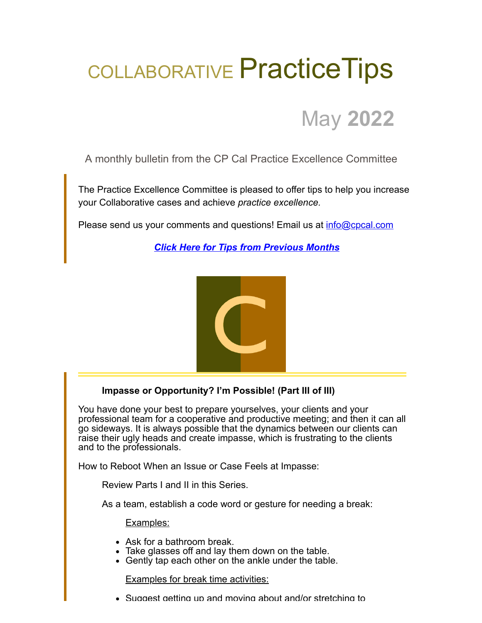## COLLABORATIVE Practice Tips



A monthly bulletin from the CP Cal Practice Excellence Committee

The Practice Excellence Committee is pleased to offer tips to help you increase your Collaborative cases and achieve *practice excellence.*

Please send us your comments and questions! Email us at [info@cpcal.com](mailto:info@cpcal.com)

*[Click Here for Tips from Previous Months](https://www.cpcal.com/resources/practice-tips-newsletter/)*



## **Impasse or Opportunity? I'm Possible! (Part III of III)**

You have done your best to prepare yourselves, your clients and your professional team for a cooperative and productive meeting; and then it can all go sideways. It is always possible that the dynamics between our clients can raise their ugly heads and create impasse, which is frustrating to the clients and to the professionals.

How to Reboot When an Issue or Case Feels at Impasse:

Review Parts I and II in this Series.

As a team, establish a code word or gesture for needing a break:

Examples:

- Ask for a bathroom break.
- Take glasses off and lay them down on the table.
- Gently tap each other on the ankle under the table.

**Examples for break time activities:** 

Suggest getting up and moving about and/or stretching to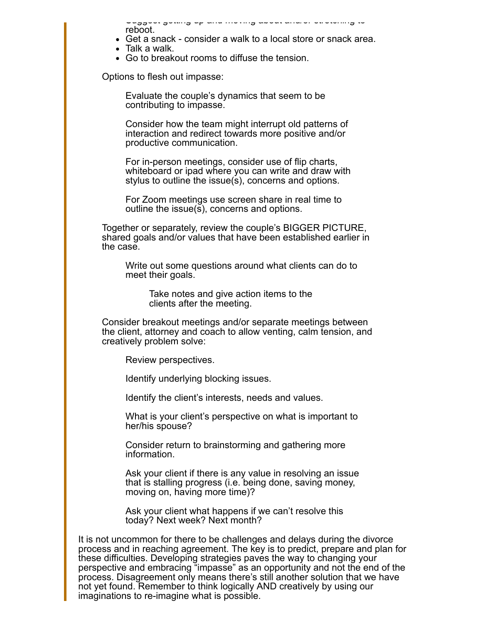Suggest getting up and moving about and/or stretching to reboot.

- Get a snack consider a walk to a local store or snack area.
- Talk a walk.
- Go to breakout rooms to diffuse the tension.

Options to flesh out impasse:

Evaluate the couple's dynamics that seem to be contributing to impasse.

Consider how the team might interrupt old patterns of interaction and redirect towards more positive and/or productive communication.

For in-person meetings, consider use of flip charts, whiteboard or ipad where you can write and draw with stylus to outline the issue(s), concerns and options.

For Zoom meetings use screen share in real time to outline the issue(s), concerns and options.

Together or separately, review the couple's BIGGER PICTURE, shared goals and/or values that have been established earlier in the case.

Write out some questions around what clients can do to meet their goals.

> Take notes and give action items to the clients after the meeting.

Consider breakout meetings and/or separate meetings between the client, attorney and coach to allow venting, calm tension, and creatively problem solve:

Review perspectives.

Identify underlying blocking issues.

Identify the client's interests, needs and values.

What is your client's perspective on what is important to her/his spouse?

Consider return to brainstorming and gathering more information.

Ask your client if there is any value in resolving an issue that is stalling progress (i.e. being done, saving money, moving on, having more time)?

Ask your client what happens if we can't resolve this today? Next week? Next month?

It is not uncommon for there to be challenges and delays during the divorce process and in reaching agreement. The key is to predict, prepare and plan for these difficulties. Developing strategies paves the way to changing your perspective and embracing "impasse" as an opportunity and not the end of the process. Disagreement only means there's still another solution that we have not yet found. Remember to think logically AND creatively by using our imaginations to re-imagine what is possible.